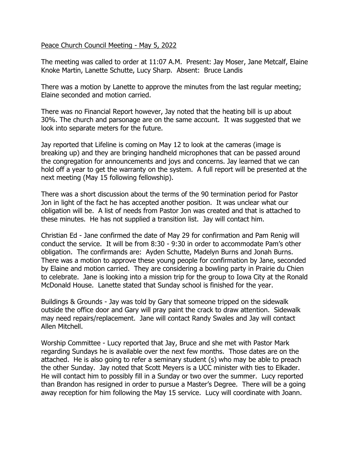## Peace Church Council Meeting - May 5, 2022

The meeting was called to order at 11:07 A.M. Present: Jay Moser, Jane Metcalf, Elaine Knoke Martin, Lanette Schutte, Lucy Sharp. Absent: Bruce Landis

There was a motion by Lanette to approve the minutes from the last regular meeting; Elaine seconded and motion carried.

There was no Financial Report however, Jay noted that the heating bill is up about 30%. The church and parsonage are on the same account. It was suggested that we look into separate meters for the future.

Jay reported that Lifeline is coming on May 12 to look at the cameras (image is breaking up) and they are bringing handheld microphones that can be passed around the congregation for announcements and joys and concerns. Jay learned that we can hold off a year to get the warranty on the system. A full report will be presented at the next meeting (May 15 following fellowship).

There was a short discussion about the terms of the 90 termination period for Pastor Jon in light of the fact he has accepted another position. It was unclear what our obligation will be. A list of needs from Pastor Jon was created and that is attached to these minutes. He has not supplied a transition list. Jay will contact him.

Christian Ed - Jane confirmed the date of May 29 for confirmation and Pam Renig will conduct the service. It will be from 8:30 - 9:30 in order to accommodate Pam's other obligation. The confirmands are: Ayden Schutte, Madelyn Burns and Jonah Burns. There was a motion to approve these young people for confirmation by Jane, seconded by Elaine and motion carried. They are considering a bowling party in Prairie du Chien to celebrate. Jane is looking into a mission trip for the group to Iowa City at the Ronald McDonald House. Lanette stated that Sunday school is finished for the year.

Buildings & Grounds - Jay was told by Gary that someone tripped on the sidewalk outside the office door and Gary will pray paint the crack to draw attention. Sidewalk may need repairs/replacement. Jane will contact Randy Swales and Jay will contact Allen Mitchell.

Worship Committee - Lucy reported that Jay, Bruce and she met with Pastor Mark regarding Sundays he is available over the next few months. Those dates are on the attached. He is also going to refer a seminary student (s) who may be able to preach the other Sunday. Jay noted that Scott Meyers is a UCC minister with ties to Elkader. He will contact him to possibly fill in a Sunday or two over the summer. Lucy reported than Brandon has resigned in order to pursue a Master's Degree. There will be a going away reception for him following the May 15 service. Lucy will coordinate with Joann.